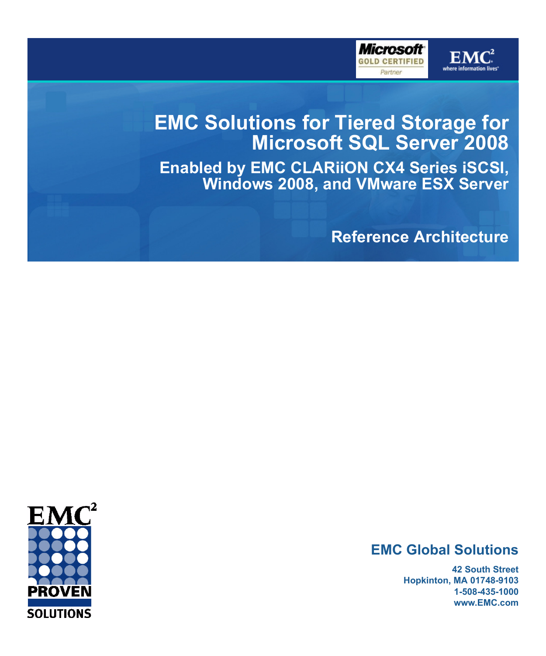

 ${\bf E} {\bf N}$ 



**Enabled by EMC CLARiiON CX4 Series iSCSI, Windows 2008, and VMware ESX Server**

**Reference Architecture**

# **EMC Global Solutions**

**42 South Street Hopkinton, MA 01748-9103 1-508-435-1000 www.EMC.com**

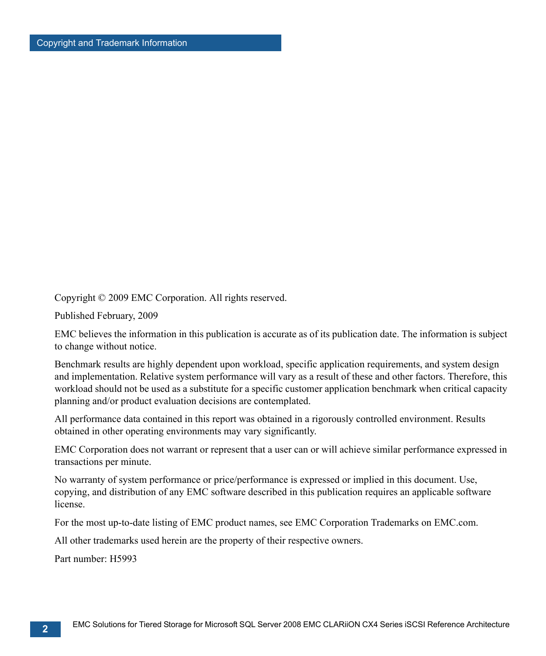Copyright © 2009 EMC Corporation. All rights reserved.

Published February, 2009

EMC believes the information in this publication is accurate as of its publication date. The information is subject to change without notice.

Benchmark results are highly dependent upon workload, specific application requirements, and system design and implementation. Relative system performance will vary as a result of these and other factors. Therefore, this workload should not be used as a substitute for a specific customer application benchmark when critical capacity planning and/or product evaluation decisions are contemplated.

All performance data contained in this report was obtained in a rigorously controlled environment. Results obtained in other operating environments may vary significantly.

EMC Corporation does not warrant or represent that a user can or will achieve similar performance expressed in transactions per minute.

No warranty of system performance or price/performance is expressed or implied in this document. Use, copying, and distribution of any EMC software described in this publication requires an applicable software license.

For the most up-to-date listing of EMC product names, see EMC Corporation Trademarks on EMC.com.

All other trademarks used herein are the property of their respective owners.

Part number: H5993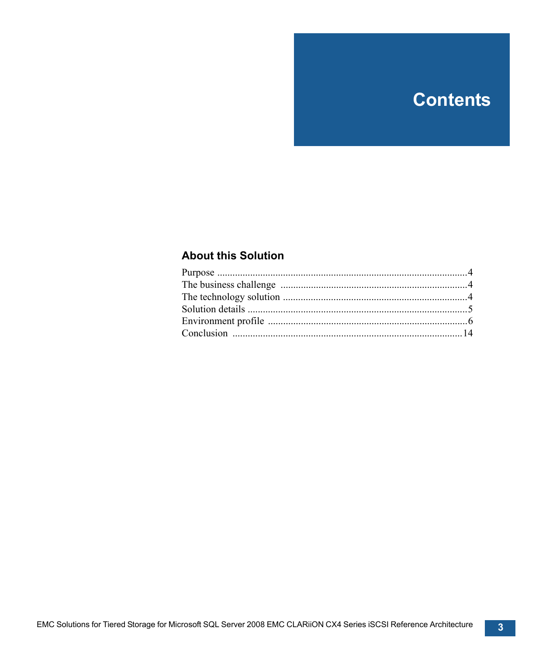# **Contents**

### **[About this Solution](#page-3-0)**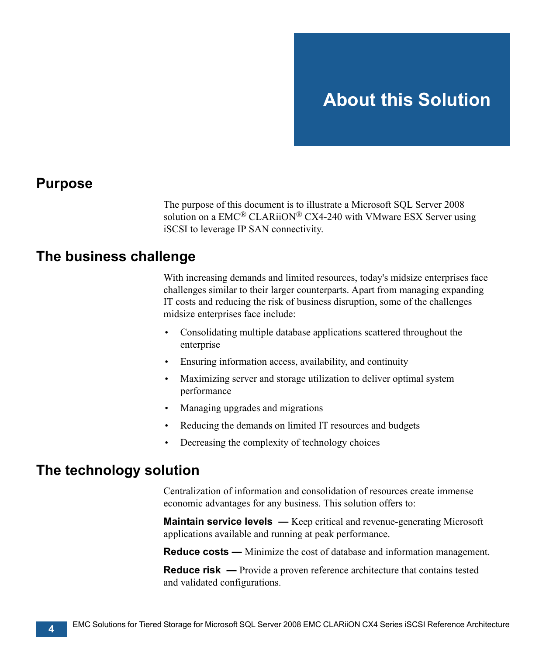### <span id="page-3-1"></span>**Purpose**

<span id="page-3-0"></span>The purpose of this document is to illustrate a Microsoft SQL Server 2008 solution on a  $EMC^{\circledR}$  CLARiiON $^{\circledR}$  CX4-240 with VMware ESX Server using iSCSI to leverage IP SAN connectivity.

# <span id="page-3-2"></span>**The business challenge**

With increasing demands and limited resources, today's midsize enterprises face challenges similar to their larger counterparts. Apart from managing expanding IT costs and reducing the risk of business disruption, some of the challenges midsize enterprises face include:

- Consolidating multiple database applications scattered throughout the enterprise
- Ensuring information access, availability, and continuity
- Maximizing server and storage utilization to deliver optimal system performance
- Managing upgrades and migrations
- Reducing the demands on limited IT resources and budgets
- Decreasing the complexity of technology choices

# <span id="page-3-3"></span>**The technology solution**

Centralization of information and consolidation of resources create immense economic advantages for any business. This solution offers to:

**Maintain service levels** — Keep critical and revenue-generating Microsoft applications available and running at peak performance.

**Reduce costs —** Minimize the cost of database and information management.

**Reduce risk** — Provide a proven reference architecture that contains tested and validated configurations.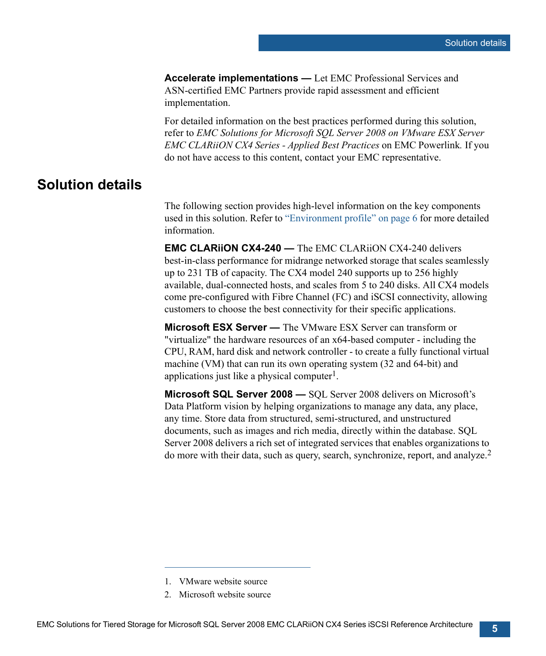**Accelerate implementations —** Let EMC Professional Services and ASN-certified EMC Partners provide rapid assessment and efficient implementation.

For detailed information on the best practices performed during this solution, refer to *EMC Solutions for Microsoft SQL Server 2008 on VMware ESX Server EMC CLARiiON CX4 Series - Applied Best Practices* on EMC Powerlink*.* If you do not have access to this content, contact your EMC representative.

## <span id="page-4-0"></span>**Solution details**

The following section provides high-level information on the key components used in this solution. Refer to ["Environment profile" on page 6](#page-5-0) for more detailed information.

**EMC CLARiiON CX4-240 —** The EMC CLARiiON CX4-240 delivers best-in-class performance for midrange networked storage that scales seamlessly up to 231 TB of capacity. The CX4 model 240 supports up to 256 highly available, dual-connected hosts, and scales from 5 to 240 disks. All CX4 models come pre-configured with Fibre Channel (FC) and iSCSI connectivity, allowing customers to choose the best connectivity for their specific applications.

**Microsoft ESX Server —** The VMware ESX Server can transform or "virtualize" the hardware resources of an x64-based computer - including the CPU, RAM, hard disk and network controller - to create a fully functional virtual machine (VM) that can run its own operating system (32 and 64-bit) and applications just like a physical computer<sup>1</sup>.

**Microsoft SQL Server 2008 —** SQL Server 2008 delivers on Microsoft's Data Platform vision by helping organizations to manage any data, any place, any time. Store data from structured, semi-structured, and unstructured documents, such as images and rich media, directly within the database. SQL Server 2008 delivers a rich set of integrated services that enables organizations to do more with their data, such as query, search, synchronize, report, and analyze.2

<sup>1.</sup> VMware website source

<sup>2.</sup> Microsoft website source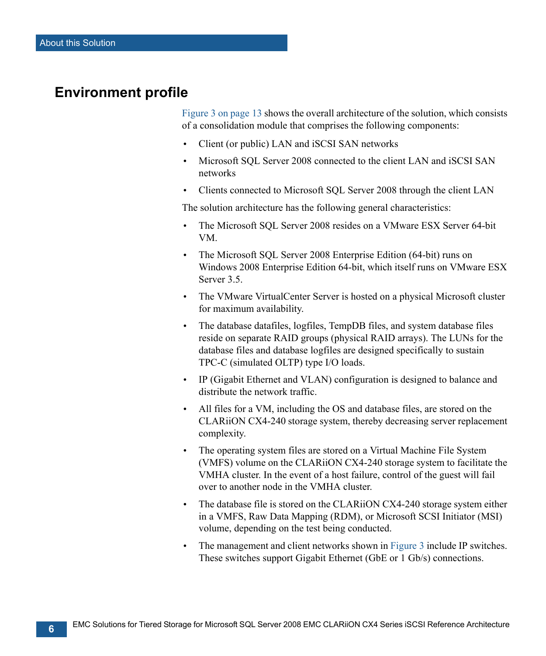# <span id="page-5-0"></span>**Environment profile**

[Figure 3 on page 13](#page-12-0) shows the overall architecture of the solution, which consists of a consolidation module that comprises the following components:

- Client (or public) LAN and iSCSI SAN networks
- Microsoft SOL Server 2008 connected to the client LAN and iSCSI SAN networks
- Clients connected to Microsoft SQL Server 2008 through the client LAN

The solution architecture has the following general characteristics:

- The Microsoft SQL Server 2008 resides on a VMware ESX Server 64-bit VM.
- The Microsoft SOL Server 2008 Enterprise Edition (64-bit) runs on Windows 2008 Enterprise Edition 64-bit, which itself runs on VMware ESX Server 3.5.
- The VMware VirtualCenter Server is hosted on a physical Microsoft cluster for maximum availability.
- The database datafiles, logfiles, TempDB files, and system database files reside on separate RAID groups (physical RAID arrays). The LUNs for the database files and database logfiles are designed specifically to sustain TPC-C (simulated OLTP) type I/O loads.
- IP (Gigabit Ethernet and VLAN) configuration is designed to balance and distribute the network traffic.
- All files for a VM, including the OS and database files, are stored on the CLARiiON CX4-240 storage system, thereby decreasing server replacement complexity.
- The operating system files are stored on a Virtual Machine File System (VMFS) volume on the CLARiiON CX4-240 storage system to facilitate the VMHA cluster. In the event of a host failure, control of the guest will fail over to another node in the VMHA cluster.
- The database file is stored on the CLARiiON CX4-240 storage system either in a VMFS, Raw Data Mapping (RDM), or Microsoft SCSI Initiator (MSI) volume, depending on the test being conducted.
- The management and client networks shown in [Figure 3](#page-12-0) include IP switches. These switches support Gigabit Ethernet (GbE or 1 Gb/s) connections.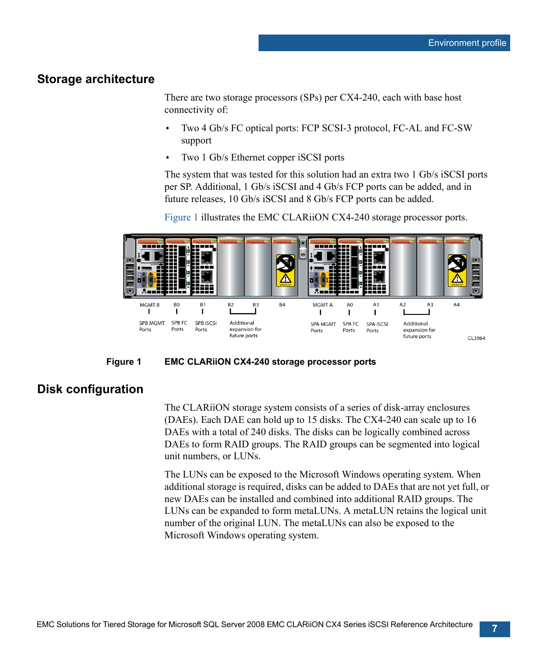#### **Storage architecture**

There are two storage processors (SPs) per CX4-240, each with base host connectivity of:

- Two 4 Gb/s FC optical ports: FCP SCSI-3 protocol, FC-AL and FC-SW support
- Two 1 Gb/s Ethernet copper iSCSI ports

The system that was tested for this solution had an extra two 1 Gb/s iSCSI ports per SP. Additional, 1 Gb/s iSCSI and 4 Gb/s FCP ports can be added, and in future releases, 10 Gb/s iSCSI and 8 Gb/s FCP ports can be added.

Figure 1 illustrates the EMC CLARiiON CX4-240 storage processor ports.





### **Disk configuration**

The CLARiiON storage system consists of a series of disk-array enclosures (DAEs). Each DAE can hold up to 15 disks. The CX4-240 can scale up to 16 DAEs with a total of 240 disks. The disks can be logically combined across DAEs to form RAID groups. The RAID groups can be segmented into logical unit numbers, or LUNs.

The LUNs can be exposed to the Microsoft Windows operating system. When additional storage is required, disks can be added to DAEs that are not yet full, or new DAEs can be installed and combined into additional RAID groups. The LUNs can be expanded to form metaLUNs. A metaLUN retains the logical unit number of the original LUN. The metaLUNs can also be exposed to the Microsoft Windows operating system.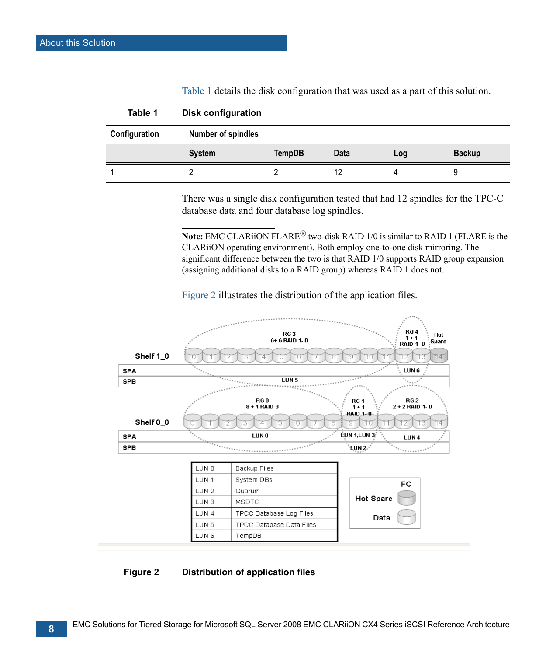<span id="page-7-0"></span>

| Table 1       | <b>Disk configuration</b> |        |      |     |               |
|---------------|---------------------------|--------|------|-----|---------------|
| Configuration | <b>Number of spindles</b> |        |      |     |               |
|               | <b>System</b>             | TempDB | Data | Log | <b>Backup</b> |
|               |                           |        | 12   |     |               |

[Table 1](#page-7-0) details the disk configuration that was used as a part of this solution.

| There was a single disk configuration tested that had 12 spindles for the TPC-C |  |  |  |
|---------------------------------------------------------------------------------|--|--|--|
| database data and four database log spindles.                                   |  |  |  |

**Note:** EMC CLARiiON FLARE® two-disk RAID 1/0 is similar to RAID 1 (FLARE is the CLARiiON operating environment). Both employ one-to-one disk mirroring. The significant difference between the two is that RAID 1/0 supports RAID group expansion (assigning additional disks to a RAID group) whereas RAID 1 does not.

[Figure 2](#page-7-1) illustrates the distribution of the application files.



#### <span id="page-7-1"></span>**Figure 2 Distribution of application files**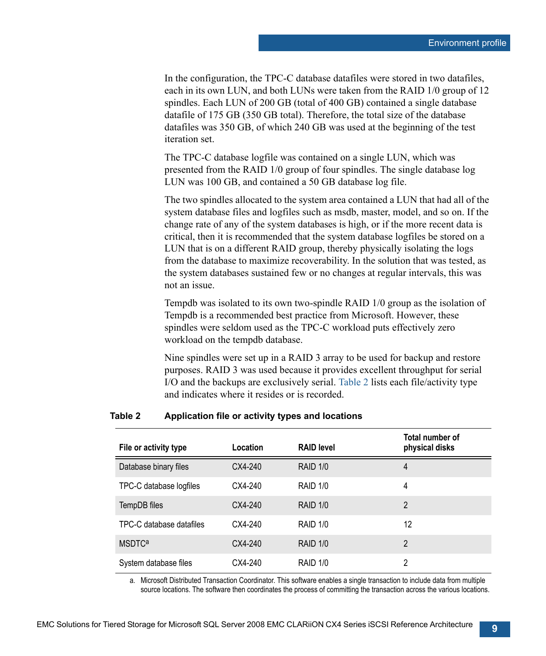In the configuration, the TPC-C database datafiles were stored in two datafiles, each in its own LUN, and both LUNs were taken from the RAID 1/0 group of 12 spindles. Each LUN of 200 GB (total of 400 GB) contained a single database datafile of 175 GB (350 GB total). Therefore, the total size of the database datafiles was 350 GB, of which 240 GB was used at the beginning of the test iteration set.

The TPC-C database logfile was contained on a single LUN, which was presented from the RAID 1/0 group of four spindles. The single database log LUN was 100 GB, and contained a 50 GB database log file.

The two spindles allocated to the system area contained a LUN that had all of the system database files and logfiles such as msdb, master, model, and so on. If the change rate of any of the system databases is high, or if the more recent data is critical, then it is recommended that the system database logfiles be stored on a LUN that is on a different RAID group, thereby physically isolating the logs from the database to maximize recoverability. In the solution that was tested, as the system databases sustained few or no changes at regular intervals, this was not an issue.

Tempdb was isolated to its own two-spindle RAID 1/0 group as the isolation of Tempdb is a recommended best practice from Microsoft. However, these spindles were seldom used as the TPC-C workload puts effectively zero workload on the tempdb database.

Nine spindles were set up in a RAID 3 array to be used for backup and restore purposes. RAID 3 was used because it provides excellent throughput for serial I/O and the backups are exclusively serial. Table 2 lists each file/activity type and indicates where it resides or is recorded.

#### **Table 2 Application file or activity types and locations**

| File or activity type    | Location  | <b>RAID level</b> | Total number of<br>physical disks |
|--------------------------|-----------|-------------------|-----------------------------------|
| Database binary files    | CX4-240   | <b>RAID 1/0</b>   | 4                                 |
| TPC-C database logfiles  | CX4-240   | <b>RAID 1/0</b>   | 4                                 |
| TempDB files             | $CX4-240$ | <b>RAID 1/0</b>   | $\mathfrak{p}$                    |
| TPC-C database datafiles | CX4-240   | <b>RAID 1/0</b>   | 12                                |
| <b>MSDTC<sup>a</sup></b> | CX4-240   | <b>RAID 1/0</b>   | 2                                 |
| System database files    | CX4-240   | <b>RAID 1/0</b>   | 2                                 |

a. Microsoft Distributed Transaction Coordinator. This software enables a single transaction to include data from multiple source locations. The software then coordinates the process of committing the transaction across the various locations.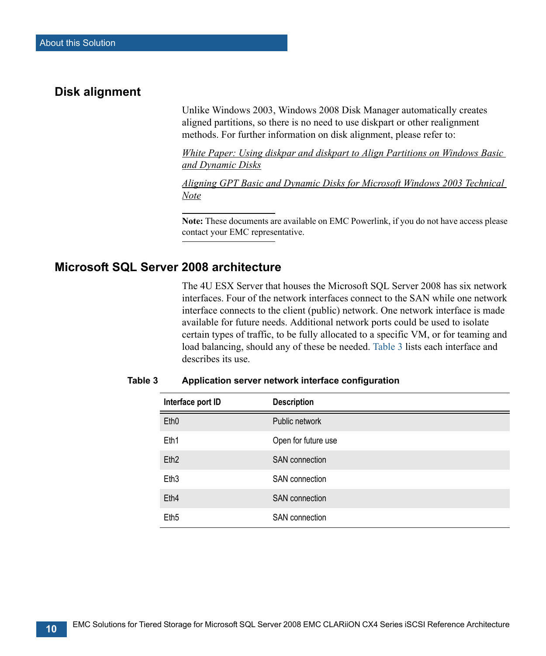### **Disk alignment**

Unlike Windows 2003, Windows 2008 Disk Manager automatically creates aligned partitions, so there is no need to use diskpart or other realignment methods. For further information on disk alignment, please refer to:

*White Paper: Using diskpar and diskpart to Align Partitions on Windows Basic and Dynamic Disks*

*Aligning GPT Basic and Dynamic Disks for Microsoft Windows 2003 Technical Note*

**Note:** These documents are available on EMC Powerlink, if you do not have access please contact your EMC representative.

### **Microsoft SQL Server 2008 architecture**

The 4U ESX Server that houses the Microsoft SQL Server 2008 has six network interfaces. Four of the network interfaces connect to the SAN while one network interface connects to the client (public) network. One network interface is made available for future needs. Additional network ports could be used to isolate certain types of traffic, to be fully allocated to a specific VM, or for teaming and load balancing, should any of these be needed. Table 3 lists each interface and describes its use.

| Interface port ID | <b>Description</b>    |
|-------------------|-----------------------|
| Eth <sub>0</sub>  | Public network        |
| Eth1              | Open for future use   |
| Eth <sub>2</sub>  | <b>SAN</b> connection |
| Eth <sub>3</sub>  | <b>SAN</b> connection |
| Eth <sub>4</sub>  | <b>SAN</b> connection |
| Eth <sub>5</sub>  | <b>SAN</b> connection |

#### **Table 3 Application server network interface configuration**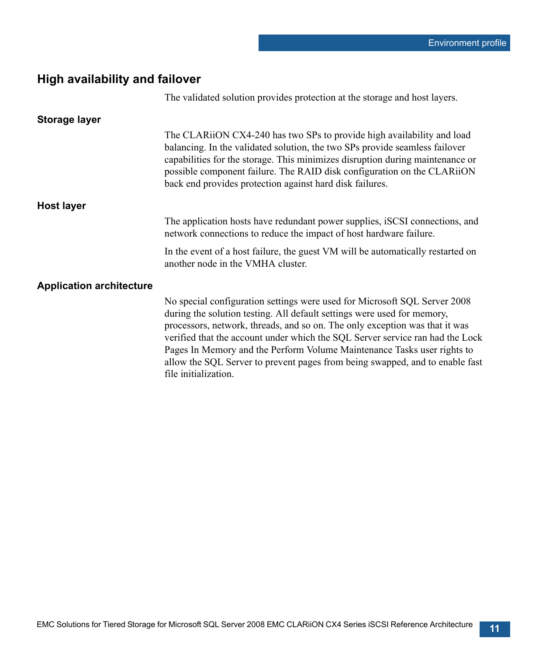# **High availability and failover**

|                                 | The validated solution provides protection at the storage and host layers.                                                                                                                                                                                                                                                                                                                                                                                                                              |
|---------------------------------|---------------------------------------------------------------------------------------------------------------------------------------------------------------------------------------------------------------------------------------------------------------------------------------------------------------------------------------------------------------------------------------------------------------------------------------------------------------------------------------------------------|
| <b>Storage layer</b>            |                                                                                                                                                                                                                                                                                                                                                                                                                                                                                                         |
|                                 | The CLARION CX4-240 has two SPs to provide high availability and load<br>balancing. In the validated solution, the two SPs provide seamless failover<br>capabilities for the storage. This minimizes disruption during maintenance or<br>possible component failure. The RAID disk configuration on the CLARiiON<br>back end provides protection against hard disk failures.                                                                                                                            |
| <b>Host layer</b>               |                                                                                                                                                                                                                                                                                                                                                                                                                                                                                                         |
|                                 | The application hosts have redundant power supplies, iSCSI connections, and<br>network connections to reduce the impact of host hardware failure.                                                                                                                                                                                                                                                                                                                                                       |
|                                 | In the event of a host failure, the guest VM will be automatically restarted on<br>another node in the VMHA cluster.                                                                                                                                                                                                                                                                                                                                                                                    |
| <b>Application architecture</b> |                                                                                                                                                                                                                                                                                                                                                                                                                                                                                                         |
|                                 | No special configuration settings were used for Microsoft SQL Server 2008<br>during the solution testing. All default settings were used for memory,<br>processors, network, threads, and so on. The only exception was that it was<br>verified that the account under which the SQL Server service ran had the Lock<br>Pages In Memory and the Perform Volume Maintenance Tasks user rights to<br>allow the SQL Server to prevent pages from being swapped, and to enable fast<br>file initialization. |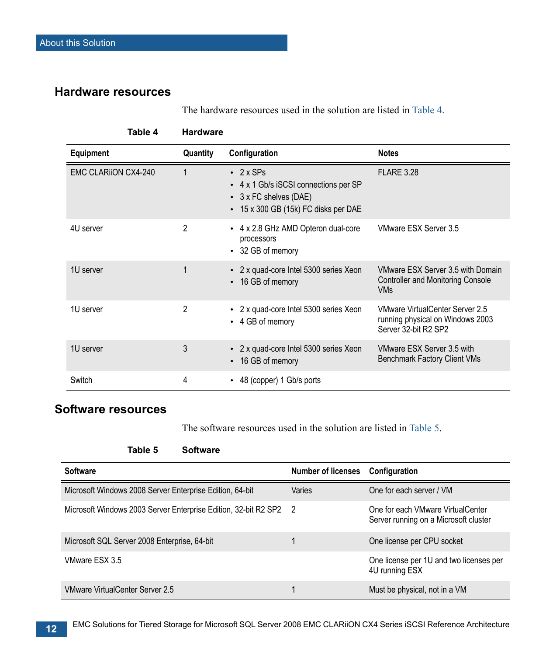## **Hardware resources**

The hardware resources used in the solution are listed in Table 4.

| Table 4                     | <b>Hardware</b> |                                                                                                                                        |                                                                                             |
|-----------------------------|-----------------|----------------------------------------------------------------------------------------------------------------------------------------|---------------------------------------------------------------------------------------------|
| <b>Equipment</b>            | Quantity        | Configuration                                                                                                                          | <b>Notes</b>                                                                                |
| <b>EMC CLARIION CX4-240</b> |                 | $\cdot$ 2 x SPs<br>• 4 x 1 Gb/s iSCSI connections per SP<br>$\cdot$ 3 x FC shelves (DAE)<br>$\cdot$ 15 x 300 GB (15k) FC disks per DAE | <b>FLARE 3.28</b>                                                                           |
| 4U server                   | $\overline{2}$  | • 4 x 2.8 GHz AMD Opteron dual-core<br>processors<br>• 32 GB of memory                                                                 | VMware ESX Server 3.5                                                                       |
| 1U server                   | 1               | • 2 x quad-core Intel 5300 series Xeon<br>16 GB of memory<br>$\bullet$                                                                 | VMware ESX Server 3.5 with Domain<br><b>Controller and Monitoring Console</b><br><b>VMs</b> |
| 1U server                   | $\overline{2}$  | • 2 x quad-core Intel 5300 series Xeon<br>• 4 GB of memory                                                                             | VMware VirtualCenter Server 2.5<br>running physical on Windows 2003<br>Server 32-bit R2 SP2 |
| 1U server                   | 3               | • 2 x quad-core Intel 5300 series Xeon<br>• 16 GB of memory                                                                            | VMware ESX Server 3.5 with<br><b>Benchmark Factory Client VMs</b>                           |
| Switch                      | 4               | • 48 (copper) 1 Gb/s ports                                                                                                             |                                                                                             |

# **Software resources**

The software resources used in the solution are listed in Table 5.

#### **Table 5 Software**

| <b>Software</b>                                                   | <b>Number of licenses</b> | Configuration                                                              |
|-------------------------------------------------------------------|---------------------------|----------------------------------------------------------------------------|
| Microsoft Windows 2008 Server Enterprise Edition, 64-bit          | Varies                    | One for each server / VM                                                   |
| Microsoft Windows 2003 Server Enterprise Edition, 32-bit R2 SP2 2 |                           | One for each VMware VirtualCenter<br>Server running on a Microsoft cluster |
| Microsoft SQL Server 2008 Enterprise, 64-bit                      |                           | One license per CPU socket                                                 |
| VMware FSX 3.5                                                    |                           | One license per 1U and two licenses per<br>4U running ESX                  |
| VMware VirtualCenter Server 2.5                                   |                           | Must be physical, not in a VM                                              |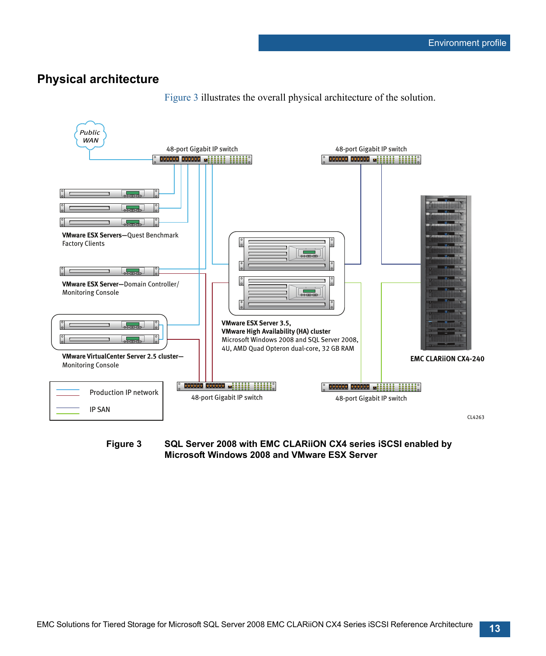### **Physical architecture**



[Figure 3](#page-12-0) illustrates the overall physical architecture of the solution.

<span id="page-12-0"></span>**Figure 3 SQL Server 2008 with EMC CLARiiON CX4 series iSCSI enabled by Microsoft Windows 2008 and VMware ESX Server**